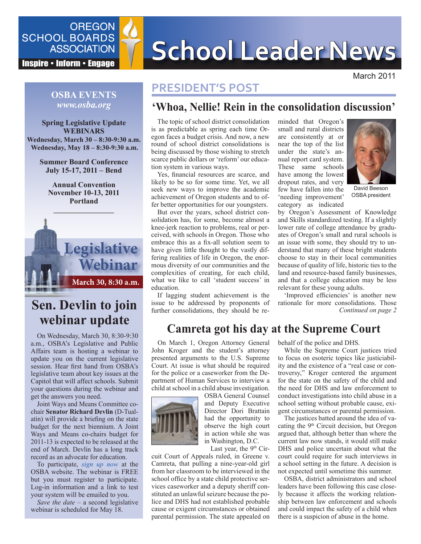

# SCHOOL BOARDS **SCHOOL Leader News**

March 2011

## **PRESIDENT'S POST**

## **'Whoa, Nellie! Rein in the consolidation discussion'**

The topic of school district consolidation is as predictable as spring each time Oregon faces a budget crisis. And now, a new round of school district consolidations is being discussed by those wishing to stretch scarce public dollars or 'reform' our education system in various ways.

Yes, financial resources are scarce, and likely to be so for some time. Yet, we all seek new ways to improve the academic achievement of Oregon students and to offer better opportunities for our youngsters.

But over the years, school district consolidation has, for some, become almost a knee-jerk reaction to problems, real or perceived, with schools in Oregon. Those who embrace this as a fix-all solution seem to have given little thought to the vastly differing realities of life in Oregon, the enormous diversity of our communities and the complexities of creating, for each child, what we like to call 'student success' in education.

If lagging student achievement is the issue to be addressed by proponents of further consolidations, they should be reminded that Oregon's small and rural districts are consistently at or near the top of the list under the state's annual report card system. These same schools have among the lowest dropout rates, and very few have fallen into the 'needing improvement' category as indicated



David Beeson OSBA president

by Oregon's Assessment of Knowledge and Skills standardized testing. If a slightly lower rate of college attendance by graduates of Oregon's small and rural schools is an issue with some, they should try to understand that many of these bright students choose to stay in their local communities because of quality of life, historic ties to the land and resource-based family businesses, and that a college education may be less relevant for these young adults.

*Continued on page 2*  'Improved efficiencies' is another new rationale for more consolidations. Those

## **Camreta got his day at the Supreme Court**

On March 1, Oregon Attorney General John Kroger and the student's attorney presented arguments to the U.S. Supreme Court. At issue is what should be required for the police or a caseworker from the Department of Human Services to interview a child at school in a child abuse investigation.



OSBA General Counsel and Deputy Executive Director Dori Brattain had the opportunity to observe the high court in action while she was in Washington, D.C.

Last year, the  $9<sup>th</sup>$  Cir-

cuit Court of Appeals ruled, in Greene v. Camreta, that pulling a nine-year-old girl from her classroom to be interviewed in the school office by a state child protective services caseworker and a deputy sheriff constituted an unlawful seizure because the police and DHS had not established probable cause or exigent circumstances or obtained parental permission. The state appealed on behalf of the police and DHS.

While the Supreme Court justices tried to focus on esoteric topics like justiciability and the existence of a "real case or controversy," Kroger centered the argument for the state on the safety of the child and the need for DHS and law enforcement to conduct investigations into child abuse in a school setting without probable cause, exigent circumstances or parental permission.

The justices batted around the idea of vacating the  $9<sup>th</sup>$  Circuit decision, but Oregon argued that, although better than where the current law now stands, it would still make DHS and police uncertain about what the court could require for such interviews in a school setting in the future. A decision is not expected until sometime this summer.

OSBA, district administrators and school leaders have been following this case closely because it affects the working relationship between law enforcement and schools and could impact the safety of a child when there is a suspicion of abuse in the home.

#### **OSBA EVENTS** *www.osba.org*

**Spring Legislative Update WEBINARS Wednesday, March 30 – 8:30-9:30 a.m. Wednesday, May 18 – 8:30-9:30 a.m.**

> **Summer Board Conference July 15-17, 2011 – Bend**

**Annual Convention November 10-13, 2011 Portland**



# **Sen. Devlin to join webinar update**

On Wednesday, March 30, 8:30-9:30 a.m., OSBA's Legislative and Public Affairs team is hosting a webinar to update you on the current legislative session. Hear first hand from OSBA's legislative team about key issues at the Capitol that will affect schools. Submit your questions during the webinar and get the answers you need.

Joint Ways and Means Committee cochair **Senator Richard Devlin** (D-Tualatin) will provide a briefing on the state budget for the next biennium. A Joint Ways and Means co-chairs budget for 2011-13 is expected to be released at the end of March. Devlin has a long track record as an advocate for education.

To participate, *s[ign up now](http://www.osba.org/Calendar/Events/Webinar_legupdate-March-2011.aspx)* at the OSBA website. The webinar is FREE but you must register to participate. Log-in information and a link to test your system will be emailed to you.

*Save the date* – a second legislative webinar is scheduled for May 18.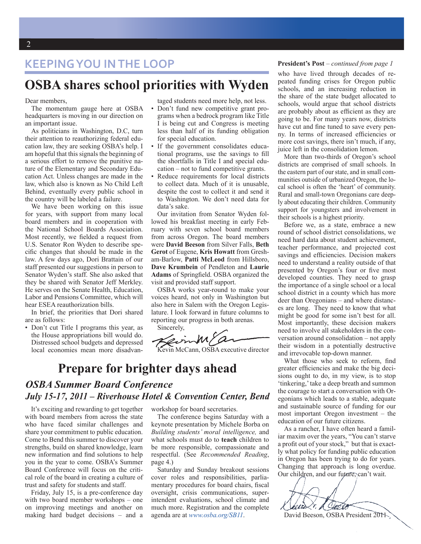# **KEEPING YOU IN THE LOOP President's Post** – *continued from page 1*

# **OSBA shares school priorities with Wyden**

#### Dear members,

The momentum gauge here at OSBA headquarters is moving in our direction on an important issue.

As politicians in Washington, D.C, turn their attention to reauthorizing federal education law, they are seeking OSBA's help. I am hopeful that this signals the beginning of a serious effort to remove the punitive nature of the Elementary and Secondary Education Act. Unless changes are made in the law, which also is known as No Child Left Behind, eventually every public school in the country will be labeled a failure.

We have been working on this issue for years, with support from many local board members and in cooperation with the National School Boards Association. Most recently, we fielded a request from U.S. Senator Ron Wyden to describe specific changes that should be made in the law. A few days ago, Dori Brattain of our staff presented our suggestions in person to Senator Wyden's staff. She also asked that they be shared with Senator Jeff Merkley. He serves on the Senate Health, Education, Labor and Pensions Committee, which will hear ESEA reauthorization bills.

In brief, the priorities that Dori shared are as follows:

• Don't cut Title I programs this year, as the House appropriations bill would do. Distressed school budgets and depressed local economies mean more disadvantaged students need more help, not less.

- Don't fund new competitive grant programs when a bedrock program like Title I is being cut and Congress is meeting less than half of its funding obligation for special education.
- If the government consolidates educational programs, use the savings to fill the shortfalls in Title I and special education – not to fund competitive grants.
- Reduce requirements for local districts to collect data. Much of it is unusable, despite the cost to collect it and send it to Washington. We don't need data for data's sake.

Our invitation from Senator Wyden followed his breakfast meeting in early February with seven school board members from across Oregon. The board members were **David Beeson** from Silver Falls, **Beth Gerot** of Eugene, **Kris Howatt** from Gresham-Barlow, **Patti McLeod** from Hillsboro, **Dave Krumbein** of Pendleton and **Laurie Adams** of Springfield. OSBA organized the visit and provided staff support.

OSBA works year-round to make your voices heard, not only in Washington but also here in Salem with the Oregon Legislature. I look forward in future columns to reporting our progress in both arenas.

Sincerely, Kevin McCann, OSBA executive director

# **Prepare for brighter days ahead**

#### *OSBA Summer Board Conference July 15-17, 2011 – Riverhouse Hotel & Convention Center, Bend*

It's exciting and rewarding to get together with board members from across the state who have faced similar challenges and share your commitment to public education. Come to Bend this summer to discover your strengths, build on shared knowledge, learn new information and find solutions to help you in the year to come. OSBA's Summer Board Conference will focus on the critical role of the board in creating a culture of trust and safety for students and staff.

Friday, July 15, is a pre-conference day with two board member workshops – one on improving meetings and another on making hard budget decisions – and a

workshop for board secretaries.

The conference begins Saturday with a keynote presentation by Michele Borba on *Building students' moral intelligence,* and what schools must do to **teach** children to be more responsible, compassionate and respectful. (See *Recommended Reading*, page 4.)

Saturday and Sunday breakout sessions cover roles and responsibilities, parliamentary procedures for board chairs, fiscal oversight, crisis communications, superintendent evaluations, school climate and much more. Registration and the complete agenda are at *[www.osba.org/SB11](http://www.osba.org/SB11)*.

who have lived through decades of repeated funding crises for Oregon public schools, and an increasing reduction in the share of the state budget allocated to schools, would argue that school districts are probably about as efficient as they are going to be. For many years now, districts have cut and fine tuned to save every penny. In terms of increased efficiencies or more cost savings, there isn't much, if any, juice left in the consolidation lemon.

More than two-thirds of Oregon's school districts are comprised of small schools. In the eastern part of our state, and in small communities outside of urbanized Oregon, the local school is often the 'heart' of community. Rural and small-town Oregonians care deeply about educating their children. Community support for youngsters and involvement in their schools is a highest priority.

Before we, as a state, embrace a new round of school district consolidations, we need hard data about student achievement, teacher performance, and projected cost savings and efficiencies. Decision makers need to understand a reality outside of that presented by Oregon's four or five most developed counties. They need to grasp the importance of a single school or a local school district in a county which has more deer than Oregonians – and where distances are long. They need to know that what might be good for some isn't best for all. Most importantly, these decision makers need to involve all stakeholders in the conversation around consolidation – not apply their wisdom in a potentially destructive and irrevocable top-down manner.

What those who seek to reform, find greater efficiencies and make the big decisions ought to do, in my view, is to stop 'tinkering,' take a deep breath and summon the courage to start a conversation with Oregonians which leads to a stable, adequate and sustainable source of funding for our most important Oregon investment – the education of our future citizens.

As a rancher, I have often heard a familiar maxim over the years, "You can't starve a profit out of your stock," but that is exactly what policy for funding public education in Oregon has been trying to do for years. Changing that approach is long overdue. Our children, and our future, can't wait.

 $\omega$ fer De

David Beeson, OSBA President 2011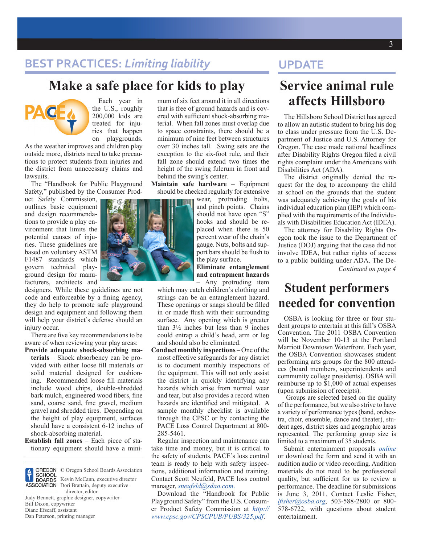# **BEST PRACTICES:** *Limiting liability*

# **Make a safe place for kids to play**



Each year in the U.S., roughly 200,000 kids are treated for injuries that happen on playgrounds.

As the weather improves and children play outside more, districts need to take precautions to protect students from injuries and the district from unnecessary claims and lawsuits.

The "Handbook for Public Playground Safety," published by the Consumer Prod-

uct Safety Commission, outlines basic equipment and design recommendations to provide a play environment that limits the potential causes of injuries. These guidelines are based on voluntary ASTM F1487 standards which govern technical playground design for manufacturers, architects and

designers. While these guidelines are not code and enforceable by a fining agency, they do help to promote safe playground design and equipment and following them will help your district's defense should an injury occur.

There are five key recommendations to be aware of when reviewing your play areas:

**Provide adequate shock-absorbing materials** – Shock absorbency can be provided with either loose fill materials or solid material designed for cushioning. Recommended loose fill materials include wood chips, double-shredded bark mulch, engineered wood fibers, fine sand, coarse sand, fine gravel, medium gravel and shredded tires. Depending on the height of play equipment, surfaces should have a consistent 6-12 inches of shock-absorbing material.

**Establish fall zones** – Each piece of stationary equipment should have a mini-



© Oregon School Boards Association Kevin McCann, executive director Dori Brattain, deputy executive director, editor

Judy Bennett, graphic designer, copywriter Bill Dixon, copywriter Diane Efseaff, assistant Dan Peterson, printing manager

mum of six feet around it in all directions that is free of ground hazards and is covered with sufficient shock-absorbing material. When fall zones must overlap due to space constraints, there should be a minimum of nine feet between structures over 30 inches tall. Swing sets are the exception to the six-foot rule, and their fall zone should extend two times the height of the swing fulcrum in front and behind the swing's center.

**Maintain safe hardware** – Equipment should be checked regularly for extensive

> wear, protruding bolts, and pinch points. Chains should not have open "S" hooks and should be replaced when there is 50 percent wear of the chain's gauge. Nuts, bolts and support bars should be flush to the play surface.

> **Eliminate entanglement and entrapment hazards**  – Any protruding item

which may catch children's clothing and strings can be an entanglement hazard. These openings or snags should be filled in or made flush with their surrounding surface. Any opening which is greater than 3½ inches but less than 9 inches could entrap a child's head, arm or leg and should also be eliminated.

**Conduct monthly inspections** – One of the most effective safeguards for any district is to document monthly inspections of the equipment. This will not only assist the district in quickly identifying any hazards which arise from normal wear and tear, but also provides a record when hazards are identified and mitigated. A sample monthly checklist is available through the CPSC or by contacting the PACE Loss Control Department at 800- 285-5461.

Regular inspection and maintenance can take time and money, but it is critical to the safety of students. PACE's loss control team is ready to help with safety inspections, additional information and training. Contact Scott Neufeld, PACE loss control manager, *[sneufeld@sdao.com](mailto:sneufeld@sdao.com)*.

Download the "Handbook for Public Playground Safety" from the U.S. Consumer Product Safety Commission at *[http://](http://www.cpsc.gov/CPSCPUB/PUBS/325.pdf) [www.cpsc.gov/CPSCPUB/PUBS/325.pdf](http://www.cpsc.gov/CPSCPUB/PUBS/325.pdf)*.

# **UPDATE**

# **Service animal rule affects Hillsboro**

The Hillsboro School District has agreed to allow an autistic student to bring his dog to class under pressure from the U.S. Department of Justice and U.S. Attorney for Oregon. The case made national headlines after Disability Rights Oregon filed a civil rights complaint under the Americans with Disabilities Act (ADA).

The district originally denied the request for the dog to accompany the child at school on the grounds that the student was adequately achieving the goals of his individual education plan (IEP) which complied with the requirements of the Individuals with Disabilities Education Act (IDEA).

The attorney for Disability Rights Oregon took the issue to the Department of Justice (DOJ) arguing that the case did not involve IDEA, but rather rights of access to a public building under ADA. The De-*Continued on page 4*

# **Student performers needed for convention**

OSBA is looking for three or four student groups to entertain at this fall's OSBA Convention. The 2011 OSBA Convention will be November 10-13 at the Portland Marriott Downtown Waterfront. Each year, the OSBA Convention showcases student performing arts groups for the 800 attendees (board members, superintendents and community college presidents). OSBA will reimburse up to \$1,000 of actual expenses (upon submission of receipts).

Groups are selected based on the quality of the performance, but we also strive to have a variety of performance types (band, orchestra, choir, ensemble, dance and theater), student ages, district sizes and geographic areas represented. The performing group size is limited to a maximum of 35 students.

Submit entertainment proposals *[online](http://www.osba.org/Calendar/ac_proposals?if=ac\proposalsubmission)*  or download the form and send it with an audition audio or video recording. Audition materials do not need to be professional quality, but sufficient for us to review a performance. The deadline for submissions is June 3, 2011. Contact Leslie Fisher, *[lfisher@osba.org](mailto:lfisher@osba.org)*, 503-588-2800 or 800- 578-6722, with questions about student entertainment.